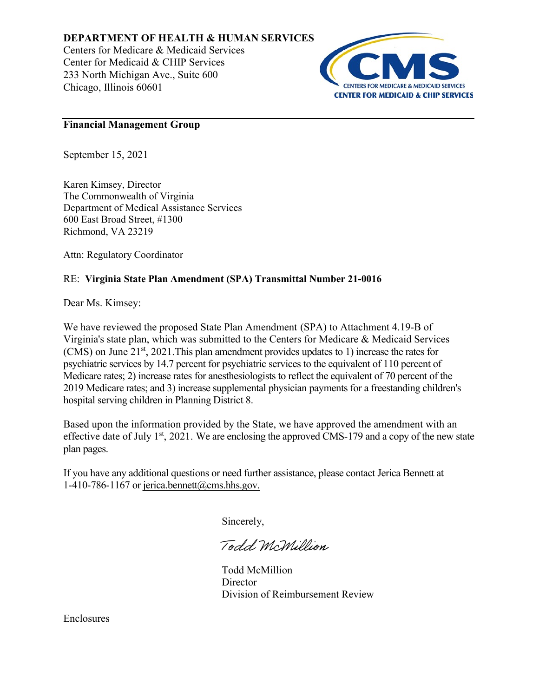# **DEPARTMENT OF HEALTH & HUMAN SERVICES**

Centers for Medicare & Medicaid Services Center for Medicaid & CHIP Services 233 North Michigan Ave., Suite 600 Chicago, Illinois 60601



# **Financial Management Group**

September 15, 2021

Karen Kimsey, Director The Commonwealth of Virginia Department of Medical Assistance Services 600 East Broad Street, #1300 Richmond, VA 23219

Attn: Regulatory Coordinator

# RE: **Virginia State Plan Amendment (SPA) Transmittal Number 21-0016**

Dear Ms. Kimsey:

We have reviewed the proposed State Plan Amendment (SPA) to Attachment 4.19-B of Virginia's state plan, which was submitted to the Centers for Medicare & Medicaid Services (CMS) on June  $21<sup>st</sup>$ , 2021. This plan amendment provides updates to 1) increase the rates for psychiatric services by 14.7 percent for psychiatric services to the equivalent of 110 percent of Medicare rates; 2) increase rates for anesthesiologists to reflect the equivalent of 70 percent of the 2019 Medicare rates; and 3) increase supplemental physician payments for a freestanding children's hospital serving children in Planning District 8.

Based upon the information provided by the State, we have approved the amendment with an effective date of July 1<sup>st</sup>, 2021. We are enclosing the approved CMS-179 and a copy of the new state plan pages.

If you have any additional questions or need further assistance, please contact Jerica Bennett at 1-410-786-1167 or jerica.bennett@cms.hhs.gov.

Sincerely,

Todd McMillion

Todd McMillion **Director** Division of Reimbursement Review

Enclosures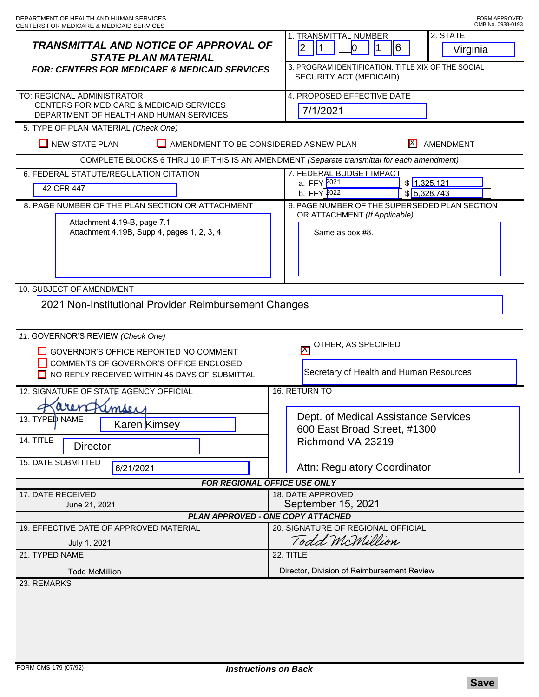| <b>TRANSMITTAL AND NOTICE OF APPROVAL OF</b><br><b>STATE PLAN MATERIAL</b><br><b>FOR: CENTERS FOR MEDICARE &amp; MEDICAID SERVICES</b>                                | 2. STATE<br>1. TRANSMITTAL NUMBER<br>2<br>$\vert$ 1<br>6<br>$\boldsymbol{0}$<br>Virginia<br>3. PROGRAM IDENTIFICATION: TITLE XIX OF THE SOCIAL<br>SECURITY ACT (MEDICAID) |
|-----------------------------------------------------------------------------------------------------------------------------------------------------------------------|---------------------------------------------------------------------------------------------------------------------------------------------------------------------------|
| TO: REGIONAL ADMINISTRATOR<br>CENTERS FOR MEDICARE & MEDICAID SERVICES<br>DEPARTMENT OF HEALTH AND HUMAN SERVICES                                                     | 4. PROPOSED EFFECTIVE DATE<br>7/1/2021                                                                                                                                    |
| 5. TYPE OF PLAN MATERIAL (Check One)<br><b>NEW STATE PLAN</b><br>AMENDMENT TO BE CONSIDERED ASNEW PLAN<br> X <br>AMENDMENT                                            |                                                                                                                                                                           |
| COMPLETE BLOCKS 6 THRU 10 IF THIS IS AN AMENDMENT (Separate transmittal for each amendment)                                                                           |                                                                                                                                                                           |
| 6. FEDERAL STATUTE/REGULATION CITATION                                                                                                                                | 7. FEDERAL BUDGET IMPACT                                                                                                                                                  |
| 42 CFR 447                                                                                                                                                            | a. FFY 2021<br>\$1,325,121<br>\$5,328,743<br>b. FFY 2022                                                                                                                  |
| 8. PAGE NUMBER OF THE PLAN SECTION OR ATTACHMENT<br>Attachment 4.19-B, page 7.1<br>Attachment 4.19B, Supp 4, pages 1, 2, 3, 4                                         | 9. PAGE NUMBER OF THE SUPERSEDED PLAN SECTION<br>OR ATTACHMENT (If Applicable)<br>Same as box #8.                                                                         |
| 10. SUBJECT OF AMENDMENT                                                                                                                                              |                                                                                                                                                                           |
| 2021 Non-Institutional Provider Reimbursement Changes                                                                                                                 |                                                                                                                                                                           |
| 11. GOVERNOR'S REVIEW (Check One)<br>GOVERNOR'S OFFICE REPORTED NO COMMENT<br>COMMENTS OF GOVERNOR'S OFFICE ENCLOSED<br>NO REPLY RECEIVED WITHIN 45 DAYS OF SUBMITTAL | OTHER, AS SPECIFIED<br>$\overline{\mathsf{M}}$<br>Secretary of Health and Human Resources                                                                                 |
| 12. SIGNATURE OF STATE AGENCY OFFICIAL                                                                                                                                | 16. RETURN TO                                                                                                                                                             |
| aren<br>Kimser                                                                                                                                                        |                                                                                                                                                                           |
| 13. TYPED NAME<br>Karen Kimsey<br>14. TITLE<br><b>Director</b><br>15. DATE SUBMITTED                                                                                  | Dept. of Medical Assistance Services<br>600 East Broad Street, #1300<br>Richmond VA 23219                                                                                 |
| 6/21/2021                                                                                                                                                             | Attn: Regulatory Coordinator                                                                                                                                              |
| <b>FOR REGIONAL OFFICE USE ONLY</b><br>18. DATE APPROVED<br>17. DATE RECEIVED                                                                                         |                                                                                                                                                                           |
| June 21, 2021                                                                                                                                                         | September 15, 2021                                                                                                                                                        |
| <b>PLAN APPROVED - ONE COPY ATTACHED</b><br>20. SIGNATURE OF REGIONAL OFFICIAL<br>19. EFFECTIVE DATE OF APPROVED MATERIAL                                             |                                                                                                                                                                           |
| July 1, 2021                                                                                                                                                          | Todd McMillion                                                                                                                                                            |
| 21. TYPED NAME                                                                                                                                                        | 22. TITLE                                                                                                                                                                 |
| <b>Todd McMillion</b>                                                                                                                                                 | Director, Division of Reimbursement Review                                                                                                                                |
| 23. REMARKS                                                                                                                                                           |                                                                                                                                                                           |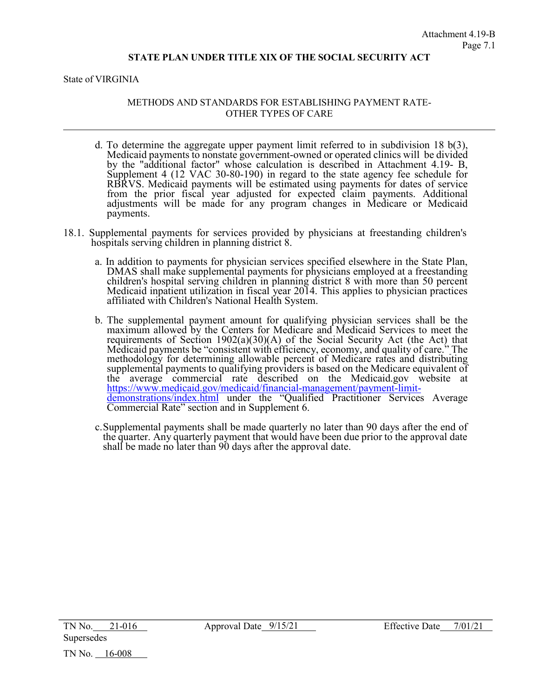State of VIRGINIA

### METHODS AND STANDARDS FOR ESTABLISHING PAYMENT RATE-OTHER TYPES OF CARE

- d. To determine the aggregate upper payment limit referred to in subdivision 18  $b(3)$ , Medicaid payments to nonstate government-owned or operated clinics will be divided by the "additional factor" whose calculation is described in Attachment 4.19- B, Supplement 4 (12 VAC 30-80-190) in regard to the state agency fee schedule for RBRVS. Medicaid payments will be estimated using payments for dates of service from the prior fiscal year adjusted for expected claim payments. Additional adjustments will be made for any program changes in Medicare or Medicaid payments.
- 18.1. Supplemental payments for services provided by physicians at freestanding children's hospitals serving children in planning district 8.
	- a. In addition to payments for physician services specified elsewhere in the State Plan, DMAS shall make supplemental payments for physicians employed at a freestanding children's hospital serving children in planning district 8 with more than 50 percent Medicaid inpatient utilization in fiscal year 2014. This applies to physician practices affiliated with Children's National Health System.
	- b. The supplemental payment amount for qualifying physician services shall be the maximum allowed by the Centers for Medicare and Medicaid Services to meet the requirements of Section 1902(a)(30)(A) of the Social Security Act (the Act) that Medicaid payments be "consistent with efficiency, economy, and quality of care." The methodology for determining allowable percent of Medicare rates and distributing supplemental payments to qualifying providers is based on the Medicare equivalent of the average commercial rate described on the Medicaid.gov website at https://www.medicaid.gov/medicaid/financial-management/payment-limit[demonstrations/index.html](https://www.medicaid.gov/medicaid/financial-management/payment-limit-demonstrations/index.html) under the "Qualified Practitioner Services Average Commercial Rate" section and in Supplement 6.
	- c.Supplemental payments shall be made quarterly no later than 90 days after the end of the quarter. Any quarterly payment that would have been due prior to the approval date shall be made no later than 90 days after the approval date.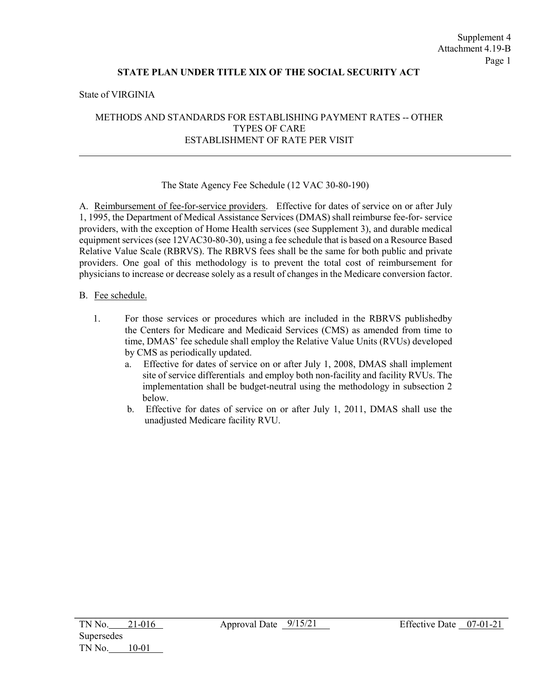#### State of VIRGINIA

## METHODS AND STANDARDS FOR ESTABLISHING PAYMENT RATES -- OTHER TYPES OF CARE ESTABLISHMENT OF RATE PER VISIT

#### The State Agency Fee Schedule (12 VAC 30-80-190)

A. Reimbursement of fee-for-service providers. Effective for dates of service on or after July 1, 1995, the Department of Medical Assistance Services (DMAS) shall reimburse fee-for- service providers, with the exception of Home Health services (see Supplement 3), and durable medical equipment services (see 12VAC30-80-30), using a fee schedule that is based on a Resource Based Relative Value Scale (RBRVS). The RBRVS fees shall be the same for both public and private providers. One goal of this methodology is to prevent the total cost of reimbursement for physicians to increase or decrease solely as a result of changes in the Medicare conversion factor.

#### B. Fee schedule.

- 1. For those services or procedures which are included in the RBRVS publishedby the Centers for Medicare and Medicaid Services (CMS) as amended from time to time, DMAS' fee schedule shall employ the Relative Value Units (RVUs) developed by CMS as periodically updated.
	- a. Effective for dates of service on or after July 1, 2008, DMAS shall implement site of service differentials and employ both non-facility and facility RVUs. The implementation shall be budget-neutral using the methodology in subsection 2 below.
	- b. Effective for dates of service on or after July 1, 2011, DMAS shall use the unadjusted Medicare facility RVU.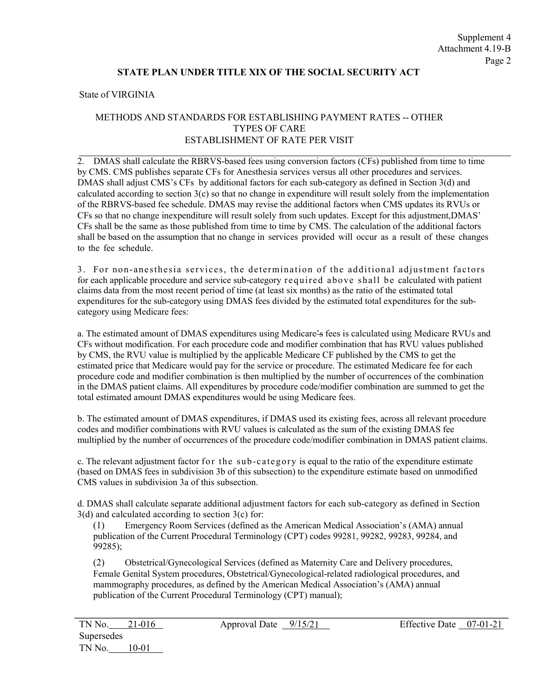State of VIRGINIA

## METHODS AND STANDARDS FOR ESTABLISHING PAYMENT RATES -- OTHER TYPES OF CARE ESTABLISHMENT OF RATE PER VISIT

2. DMAS shall calculate the RBRVS-based fees using conversion factors (CFs) published from time to time by CMS. CMS publishes separate CFs for Anesthesia services versus all other procedures and services. DMAS shall adjust CMS's CFs by additional factors for each sub-category as defined in Section 3(d) and calculated according to section 3(c) so that no change in expenditure will result solely from the implementation of the RBRVS-based fee schedule. DMAS may revise the additional factors when CMS updates its RVUs or CFs so that no change in expenditure will result solely from such updates. Except for this adjustment, DMAS' CFs shall be the same as those published from time to time by CMS. The calculation of the additional factors shall be based on the assumption that no change in services provided will occur as a result of these changes to the fee schedule.

3. For non-anesthesia services, the determination of the additional adjustment factors for each applicable procedure and service sub-category required above shall be calculated with patient claims data from the most recent period of time (at least six months) as the ratio of the estimated total expenditures for the sub-category using DMAS fees divided by the estimated total expenditures for the subcategory using Medicare fees:

a. The estimated amount of DMAS expenditures using Medicare's fees is calculated using Medicare RVUs and CFs without modification. For each procedure code and modifier combination that has RVU values published by CMS, the RVU value is multiplied by the applicable Medicare CF published by the CMS to get the estimated price that Medicare would pay for the service or procedure. The estimated Medicare fee for each procedure code and modifier combination is then multiplied by the number of occurrences of the combination in the DMAS patient claims. All expenditures by procedure code/modifier combination are summed to get the total estimated amount DMAS expenditures would be using Medicare fees.

b. The estimated amount of DMAS expenditures, if DMAS used its existing fees, across all relevant procedure codes and modifier combinations with RVU values is calculated as the sum of the existing DMAS fee multiplied by the number of occurrences of the procedure code/modifier combination in DMAS patient claims.

c. The relevant adjustment factor for the sub-category is equal to the ratio of the expenditure estimate (based on DMAS fees in subdivision 3b of this subsection) to the expenditure estimate based on unmodified CMS values in subdivision 3a of this subsection.

d. DMAS shall calculate separate additional adjustment factors for each sub-category as defined in Section  $3(d)$  and calculated according to section  $3(c)$  for:

(1) Emergency Room Services (defined as the American Medical Association's (AMA) annual publication of the Current Procedural Terminology (CPT) codes 99281, 99282, 99283, 99284, and 99285);

(2) Obstetrical/Gynecological Services (defined as Maternity Care and Delivery procedures, Female Genital System procedures, Obstetrical/Gynecological-related radiological procedures, and mammography procedures, as defined by the American Medical Association's (AMA) annual publication of the Current Procedural Terminology (CPT) manual);

Approval Date  $\frac{9/15/21}{2}$  Effective Date 07-01-21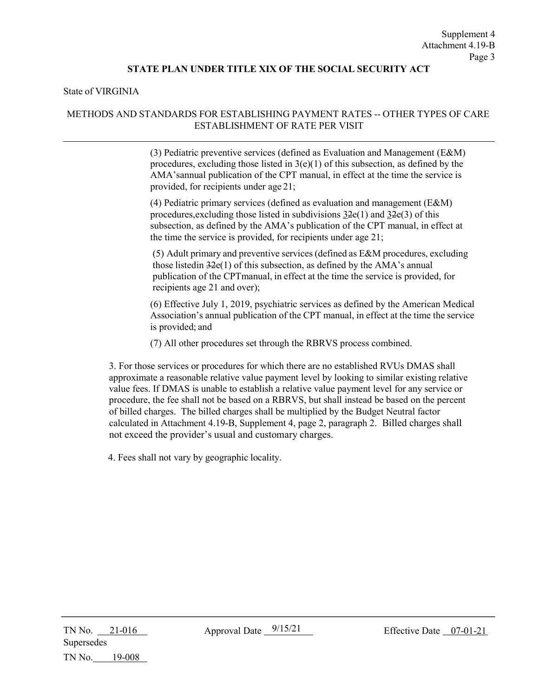#### State of VIRGINIA

### METHODS AND STANDARDS FOR ESTABLISHING PAYMENT RATES -- OTHER TYPES OF CARE ESTABLISHMENT OF RATE PER VISIT

(3) Pediatric preventive services (defined as Evaluation and Management (E&M) procedures, excluding those listed in  $3(e)(1)$  of this subsection, as defined by the AMA's annual publication of the CPT manual, in effect at the time the service is provided, for recipients under age 21;

(4) Pediatric primary services (defined as evaluation and management (E&M) procedures, excluding those listed in subdivisions  $32e(1)$  and  $32e(3)$  of this subsection, as defined by the AMA's publication of the CPT manual, in effect at the time the service is provided, for recipients under age 21;

(5) Adult primary and preventive services (defined as E&M procedures, excluding those listedin 32e(1) of this subsection, as defined by the AMA's annual publication of the CPT manual, in effect at the time the service is provided, for recipients age 21 and over);

(6) Effective July 1, 2019, psychiatric services as defined by the American Medical Association's annual publication of the CPT manual, in effect at the time the service is provided; and

(7) All other procedures set through the RBRVS process combined.

3. For those services or procedures for which there are no established RVUs DMAS shall approximate a reasonable relative value payment level by looking to similar existing relative value fees. If DMAS is unable to establish a relative value payment level for any service or procedure, the fee shall not be based on a RBRVS, but shall instead be based on the percent of billed charges. The billed charges shall be multiplied by the Budget Neutral factor calculated in Attachment 4.19-B, Supplement 4, page 2, paragraph 2. Billed charges shall not exceed the provider's usual and customary charges.

4. Fees shall not vary by geographic locality.